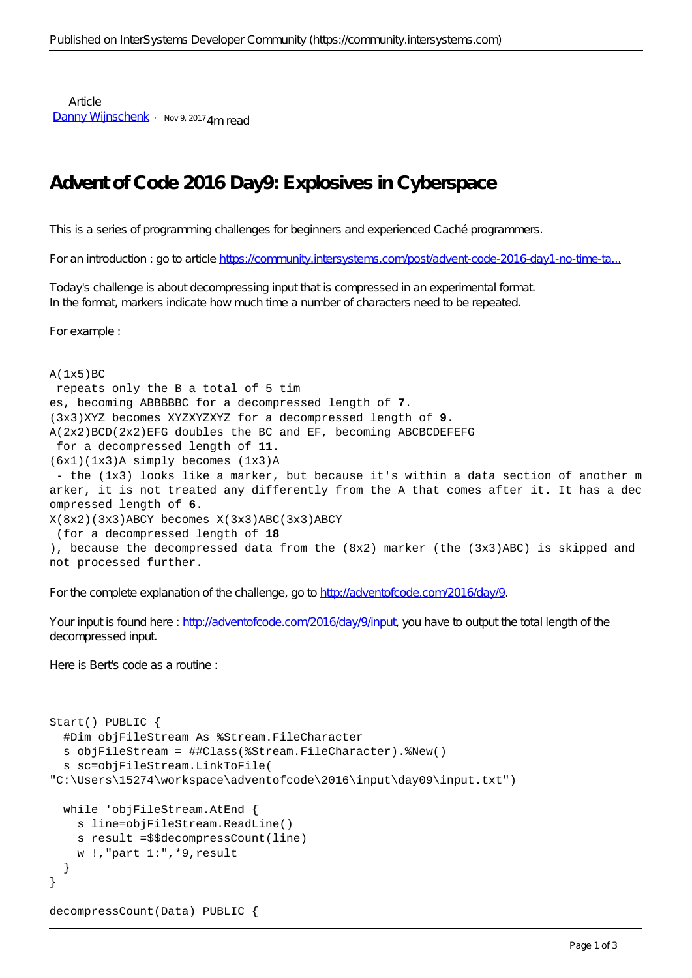**Article** [Danny Wijnschenk](https://community.intersystems.com/user/danny-wijnschenk) · Nov 9, 2017 4m read

## **Advent of Code 2016 Day9: Explosives in Cyberspace**

This is a series of programming challenges for beginners and experienced Caché programmers.

For an introduction : go to article https://community.intersystems.com/post/advent-code-2016-day1-no-time-ta.

Today's challenge is about decompressing input that is compressed in an experimental format. In the format, markers indicate how much time a number of characters need to be repeated.

For example :

```
A(1x5)BC repeats only the B a total of 5 tim
es, becoming ABBBBBC for a decompressed length of 7.
(3x3)XYZ becomes XYZXYZXYZ for a decompressed length of 9.
A(2x2)BCD(2x2)EFG doubles the BC and EF, becoming ABCBCDEFEFG
  for a decompressed length of 11.
(6x1)(1x3)A simply becomes (1x3)A
  - the (1x3) looks like a marker, but because it's within a data section of another m
arker, it is not treated any differently from the A that comes after it. It has a dec
ompressed length of 6.
X(8x2)(3x3)ABCY becomes X(3x3)ABC(3x3)ABCY
  (for a decompressed length of 18
), because the decompressed data from the (8x2) marker (the (3x3)ABC) is skipped and
not processed further.
```
For the complete explanation of the challenge, go to<http://adventofcode.com/2016/day/9>.

Your input is found here :<http://adventofcode.com/2016/day/9/input>, you have to output the total length of the decompressed input.

Here is Bert's code as a routine :

```
Start() PUBLIC {
   #Dim objFileStream As %Stream.FileCharacter
   s objFileStream = ##Class(%Stream.FileCharacter).%New()
   s sc=objFileStream.LinkToFile(
"C:\Users\15274\workspace\adventofcode\2016\input\day09\input.txt")
   while 'objFileStream.AtEnd {
     s line=objFileStream.ReadLine()
     s result =$$decompressCount(line)
     w !,"part 1:",*9,result
   }
}
decompressCount(Data) PUBLIC {
```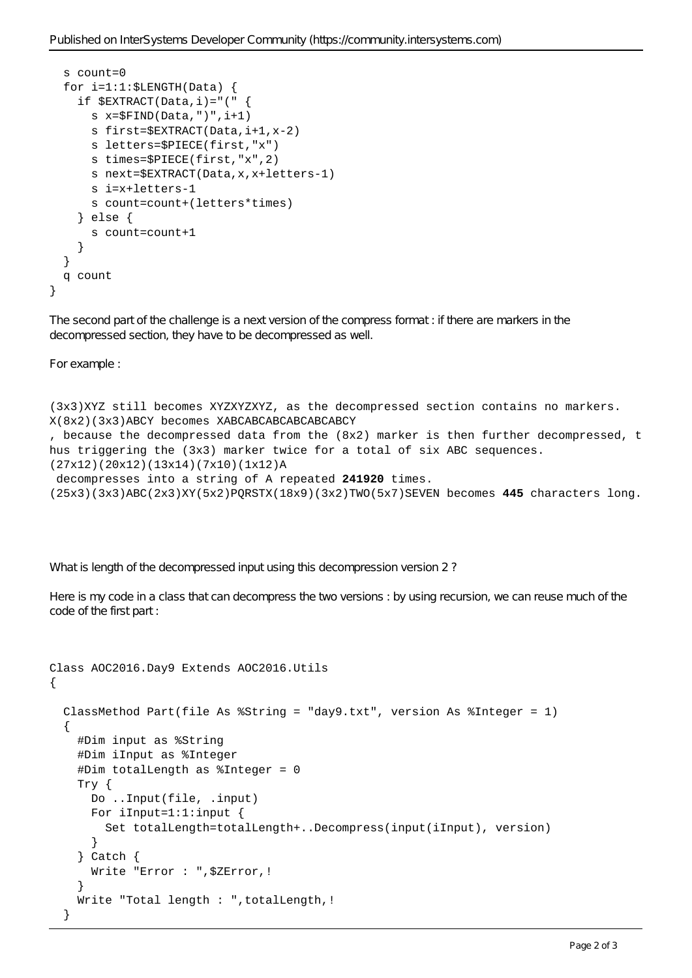```
 s count=0
  for i=1:1:$LENGTH(Data) {
    if $EXTRACT(Data,i)=" ("
       s x=$FIND(Data,")",i+1)
       s first=$EXTRACT(Data,i+1,x-2)
       s letters=$PIECE(first,"x")
       s times=$PIECE(first,"x",2)
       s next=$EXTRACT(Data,x,x+letters-1)
       s i=x+letters-1
       s count=count+(letters*times)
     } else {
       s count=count+1
     }
   }
   q count
}
```
The second part of the challenge is a next version of the compress format : if there are markers in the decompressed section, they have to be decompressed as well.

For example :

```
(3x3)XYZ still becomes XYZXYZXYZ, as the decompressed section contains no markers.
X(8x2)(3x3)ABCY becomes XABCABCABCABCABCABCY
, because the decompressed data from the (8x2) marker is then further decompressed, t
hus triggering the (3x3) marker twice for a total of six ABC sequences.
(27x12)(20x12)(13x14)(7x10)(1x12)A
  decompresses into a string of A repeated 241920 times.
(25x3)(3x3)ABC(2x3)XY(5x2)PQRSTX(18x9)(3x2)TWO(5x7)SEVEN becomes 445 characters long.
```
What is length of the decompressed input using this decompression version 2?

Here is my code in a class that can decompress the two versions : by using recursion, we can reuse much of the code of the first part :

```
Class AOC2016.Day9 Extends AOC2016.Utils
{
   ClassMethod Part(file As %String = "day9.txt", version As %Integer = 1)
   {
     #Dim input as %String
     #Dim iInput as %Integer
     #Dim totalLength as %Integer = 0
     Try {
       Do ..Input(file, .input)
       For iInput=1:1:input {
         Set totalLength=totalLength+..Decompress(input(iInput), version)
       }
     } Catch {
       Write "Error : ",$ZError,!
     }
     Write "Total length : ",totalLength,!
   }
```